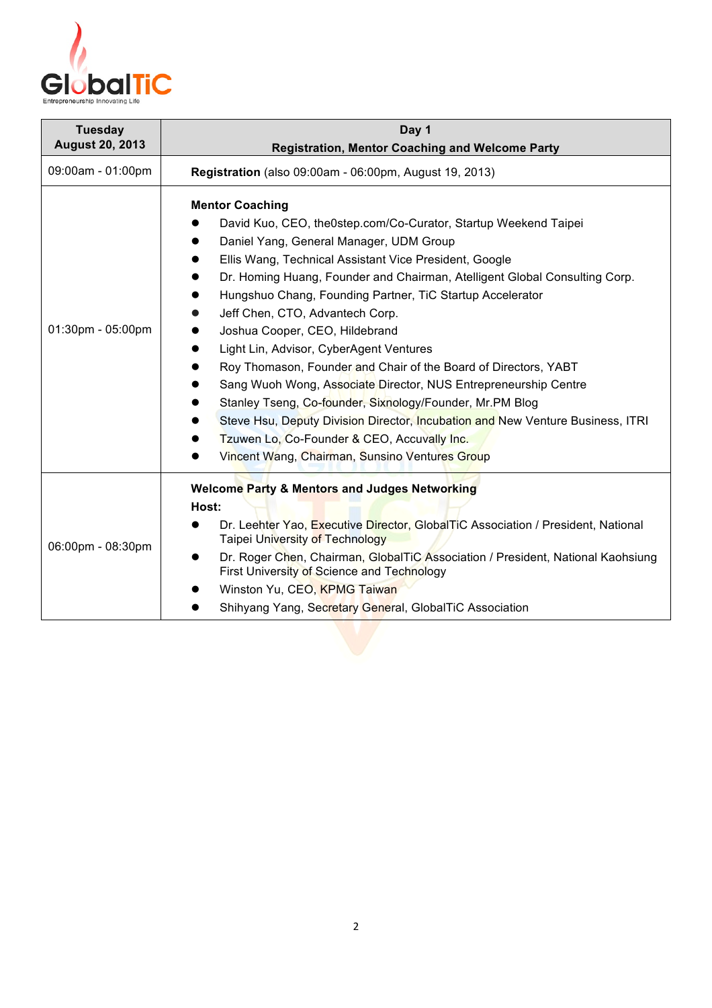

| <b>Tuesday</b><br><b>August 20, 2013</b> | Day 1                                                                                                                                                                                                                                                                                                                                                                                                                                                                                                                                                                                                                                                                                                                                                                                                                                          |
|------------------------------------------|------------------------------------------------------------------------------------------------------------------------------------------------------------------------------------------------------------------------------------------------------------------------------------------------------------------------------------------------------------------------------------------------------------------------------------------------------------------------------------------------------------------------------------------------------------------------------------------------------------------------------------------------------------------------------------------------------------------------------------------------------------------------------------------------------------------------------------------------|
|                                          | <b>Registration, Mentor Coaching and Welcome Party</b>                                                                                                                                                                                                                                                                                                                                                                                                                                                                                                                                                                                                                                                                                                                                                                                         |
| 09:00am - 01:00pm                        | Registration (also 09:00am - 06:00pm, August 19, 2013)                                                                                                                                                                                                                                                                                                                                                                                                                                                                                                                                                                                                                                                                                                                                                                                         |
| 01:30pm - 05:00pm                        | <b>Mentor Coaching</b><br>David Kuo, CEO, the0step.com/Co-Curator, Startup Weekend Taipei<br>Daniel Yang, General Manager, UDM Group<br>Ellis Wang, Technical Assistant Vice President, Google<br>Dr. Homing Huang, Founder and Chairman, Atelligent Global Consulting Corp.<br>Hungshuo Chang, Founding Partner, TiC Startup Accelerator<br>Jeff Chen, CTO, Advantech Corp.<br>Joshua Cooper, CEO, Hildebrand<br>Light Lin, Advisor, CyberAgent Ventures<br>Roy Thomason, Founder and Chair of the Board of Directors, YABT<br>Sang Wuoh Wong, Associate Director, NUS Entrepreneurship Centre<br>Stanley Tseng, Co-founder, Sixnology/Founder, Mr.PM Blog<br>Steve Hsu, Deputy Division Director, Incubation and New Venture Business, ITRI<br>Tzuwen Lo, Co-Founder & CEO, Accuvally Inc.<br>Vincent Wang, Chairman, Sunsino Ventures Group |
| 06:00pm - 08:30pm                        | <b>Welcome Party &amp; Mentors and Judges Networking</b><br>Host:<br>Dr. Leehter Yao, Executive Director, GlobalTiC Association / President, National<br><b>Taipei University of Technology</b><br>Dr. Roger Chen, Chairman, GlobalTiC Association / President, National Kaohsiung<br><b>First University of Science and Technology</b><br>Winston Yu, CEO, KPMG Taiwan<br>Shihyang Yang, Secretary General, GlobalTiC Association                                                                                                                                                                                                                                                                                                                                                                                                             |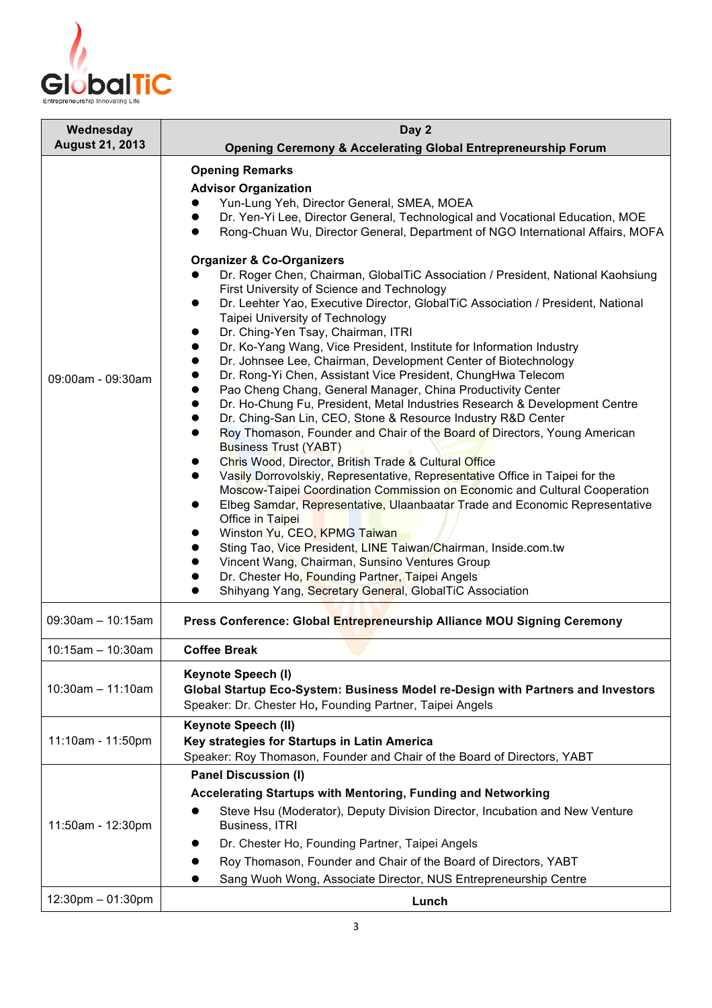

| Wednesday              | Day 2                                                                                                                                                                                                                                                                                                                                                                                                                                                                                                                                                                                                                                                                                                                                                                                                                                                                                                                                                                                                                                                                                                                                                                                                                                                                                                  |
|------------------------|--------------------------------------------------------------------------------------------------------------------------------------------------------------------------------------------------------------------------------------------------------------------------------------------------------------------------------------------------------------------------------------------------------------------------------------------------------------------------------------------------------------------------------------------------------------------------------------------------------------------------------------------------------------------------------------------------------------------------------------------------------------------------------------------------------------------------------------------------------------------------------------------------------------------------------------------------------------------------------------------------------------------------------------------------------------------------------------------------------------------------------------------------------------------------------------------------------------------------------------------------------------------------------------------------------|
| <b>August 21, 2013</b> | <b>Opening Ceremony &amp; Accelerating Global Entrepreneurship Forum</b>                                                                                                                                                                                                                                                                                                                                                                                                                                                                                                                                                                                                                                                                                                                                                                                                                                                                                                                                                                                                                                                                                                                                                                                                                               |
| 09:00am - 09:30am      | <b>Opening Remarks</b><br><b>Advisor Organization</b><br>Yun-Lung Yeh, Director General, SMEA, MOEA<br>Dr. Yen-Yi Lee, Director General, Technological and Vocational Education, MOE<br>Rong-Chuan Wu, Director General, Department of NGO International Affairs, MOFA<br><b>Organizer &amp; Co-Organizers</b><br>Dr. Roger Chen, Chairman, GlobalTiC Association / President, National Kaohsiung<br>First University of Science and Technology                                                                                                                                                                                                                                                                                                                                                                                                                                                                                                                                                                                                                                                                                                                                                                                                                                                        |
|                        | Dr. Leehter Yao, Executive Director, GlobalTiC Association / President, National<br>$\bullet$<br>Taipei University of Technology<br>Dr. Ching-Yen Tsay, Chairman, ITRI<br>Dr. Ko-Yang Wang, Vice President, Institute for Information Industry<br>Dr. Johnsee Lee, Chairman, Development Center of Biotechnology<br>Dr. Rong-Yi Chen, Assistant Vice President, ChungHwa Telecom<br>Pao Cheng Chang, General Manager, China Productivity Center<br>Dr. Ho-Chung Fu, President, Metal Industries Research & Development Centre<br>Dr. Ching-San Lin, CEO, Stone & Resource Industry R&D Center<br>Roy Thomason, Founder and Chair of the Board of Directors, Young American<br><b>Business Trust (YABT)</b><br>Chris Wood, Director, British Trade & Cultural Office<br>Vasily Dorrovolskiy, Representative, Representative Office in Taipei for the<br>Moscow-Taipei Coordination Commission on Economic and Cultural Cooperation<br>Elbeg Samdar, Representative, Ulaanbaatar Trade and Economic Representative<br>Office in Taipei<br>Winston Yu, CEO, KPMG Taiwan<br>Sting Tao, Vice President, LINE Taiwan/Chairman, Inside.com.tw<br>Vincent Wang, Chairman, Sunsino Ventures Group<br>Dr. Chester Ho, Founding Partner, Taipei Angels<br>Shihyang Yang, Secretary General, GlobalTiC Association |
| $09:30am - 10:15am$    | Press Conference: Global Entrepreneurship Alliance MOU Signing Ceremony                                                                                                                                                                                                                                                                                                                                                                                                                                                                                                                                                                                                                                                                                                                                                                                                                                                                                                                                                                                                                                                                                                                                                                                                                                |
| $10:15am - 10:30am$    | <b>Coffee Break</b>                                                                                                                                                                                                                                                                                                                                                                                                                                                                                                                                                                                                                                                                                                                                                                                                                                                                                                                                                                                                                                                                                                                                                                                                                                                                                    |
| $10:30am - 11:10am$    | <b>Keynote Speech (I)</b><br>Global Startup Eco-System: Business Model re-Design with Partners and Investors<br>Speaker: Dr. Chester Ho, Founding Partner, Taipei Angels                                                                                                                                                                                                                                                                                                                                                                                                                                                                                                                                                                                                                                                                                                                                                                                                                                                                                                                                                                                                                                                                                                                               |
| 11:10am - 11:50pm      | Keynote Speech (II)<br>Key strategies for Startups in Latin America<br>Speaker: Roy Thomason, Founder and Chair of the Board of Directors, YABT                                                                                                                                                                                                                                                                                                                                                                                                                                                                                                                                                                                                                                                                                                                                                                                                                                                                                                                                                                                                                                                                                                                                                        |
| 11:50am - 12:30pm      | <b>Panel Discussion (I)</b><br>Accelerating Startups with Mentoring, Funding and Networking<br>Steve Hsu (Moderator), Deputy Division Director, Incubation and New Venture<br>Business, ITRI<br>Dr. Chester Ho, Founding Partner, Taipei Angels<br>Roy Thomason, Founder and Chair of the Board of Directors, YABT<br>Sang Wuoh Wong, Associate Director, NUS Entrepreneurship Centre                                                                                                                                                                                                                                                                                                                                                                                                                                                                                                                                                                                                                                                                                                                                                                                                                                                                                                                  |
| $12:30$ pm $-01:30$ pm | Lunch                                                                                                                                                                                                                                                                                                                                                                                                                                                                                                                                                                                                                                                                                                                                                                                                                                                                                                                                                                                                                                                                                                                                                                                                                                                                                                  |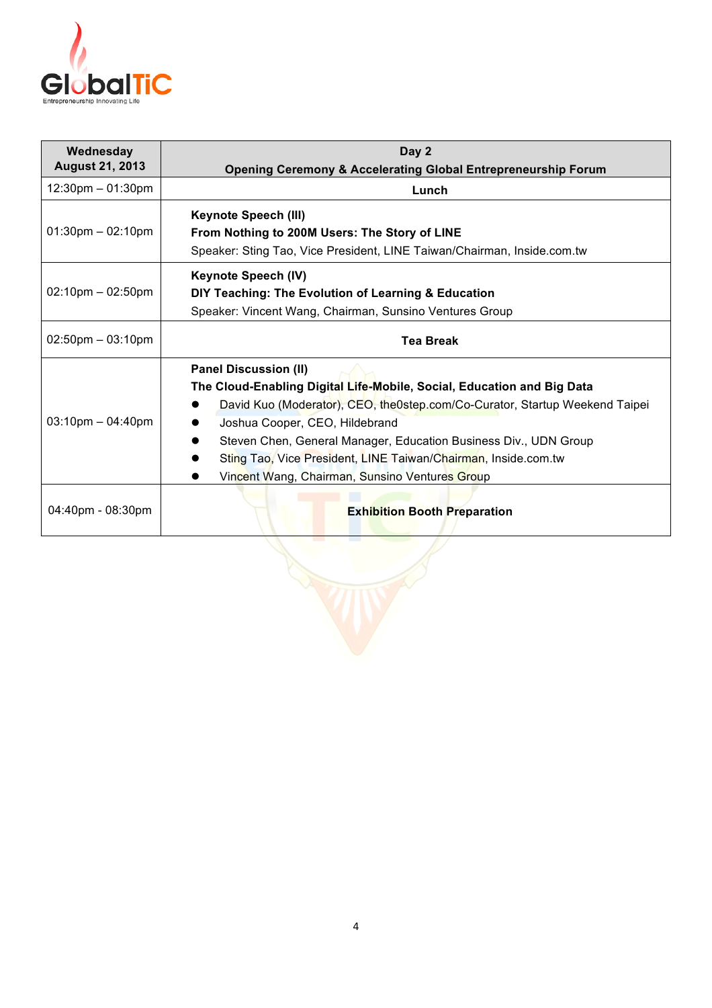

| Wednesday<br><b>August 21, 2013</b> | Day 2<br><b>Opening Ceremony &amp; Accelerating Global Entrepreneurship Forum</b>                                                                                                                                                                                                                                                                                                                               |
|-------------------------------------|-----------------------------------------------------------------------------------------------------------------------------------------------------------------------------------------------------------------------------------------------------------------------------------------------------------------------------------------------------------------------------------------------------------------|
| $12:30$ pm $-01:30$ pm              | Lunch                                                                                                                                                                                                                                                                                                                                                                                                           |
| $01:30 \text{pm} - 02:10 \text{pm}$ | <b>Keynote Speech (III)</b><br>From Nothing to 200M Users: The Story of LINE<br>Speaker: Sting Tao, Vice President, LINE Taiwan/Chairman, Inside.com.tw                                                                                                                                                                                                                                                         |
| $02:10$ pm $-02:50$ pm              | <b>Keynote Speech (IV)</b><br>DIY Teaching: The Evolution of Learning & Education<br>Speaker: Vincent Wang, Chairman, Sunsino Ventures Group                                                                                                                                                                                                                                                                    |
| $02:50$ pm $-03:10$ pm              | <b>Tea Break</b>                                                                                                                                                                                                                                                                                                                                                                                                |
| $03:10$ pm $-04:40$ pm              | <b>Panel Discussion (II)</b><br>The Cloud-Enabling Digital Life-Mobile, Social, Education and Big Data<br>David Kuo (Moderator), CEO, the0step.com/Co-Curator, Startup Weekend Taipei<br>Joshua Cooper, CEO, Hildebrand<br>Steven Chen, General Manager, Education Business Div., UDN Group<br>Sting Tao, Vice President, LINE Taiwan/Chairman, Inside.com.tw<br>Vincent Wang, Chairman, Sunsino Ventures Group |
| 04:40pm - 08:30pm                   | <b>Exhibition Booth Preparation</b>                                                                                                                                                                                                                                                                                                                                                                             |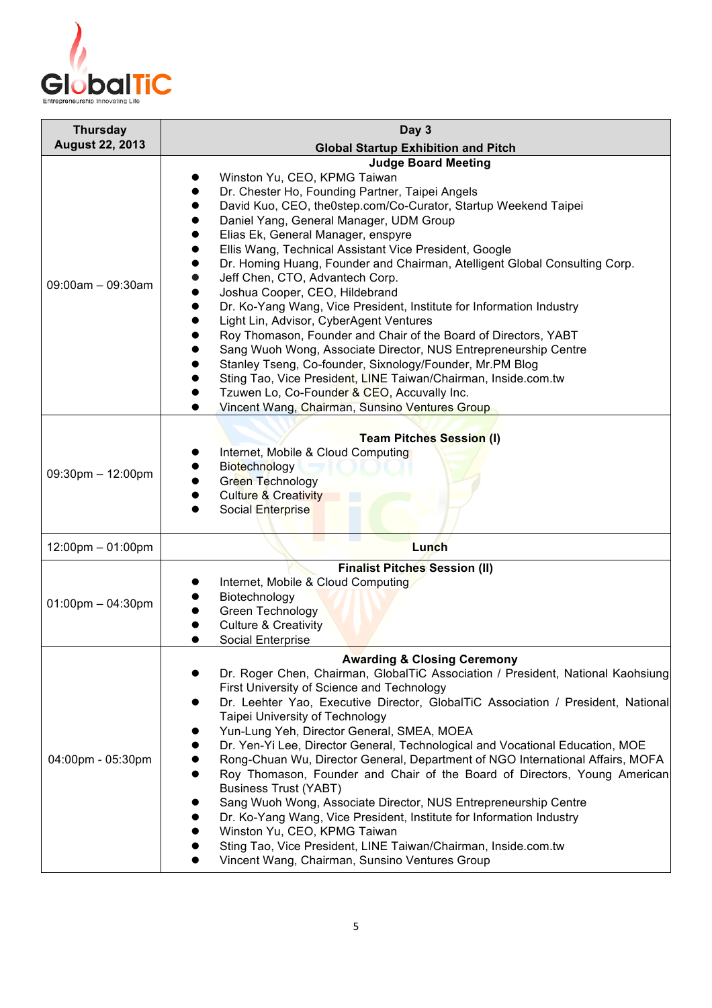

| <b>Thursday</b>         | Day 3                                                                                                                                                                                                                                                                                                                                                                                                                                                                                                                                                                                                                                                                                                                                                                                                                                                                                                                                                                  |
|-------------------------|------------------------------------------------------------------------------------------------------------------------------------------------------------------------------------------------------------------------------------------------------------------------------------------------------------------------------------------------------------------------------------------------------------------------------------------------------------------------------------------------------------------------------------------------------------------------------------------------------------------------------------------------------------------------------------------------------------------------------------------------------------------------------------------------------------------------------------------------------------------------------------------------------------------------------------------------------------------------|
| <b>August 22, 2013</b>  | <b>Global Startup Exhibition and Pitch</b>                                                                                                                                                                                                                                                                                                                                                                                                                                                                                                                                                                                                                                                                                                                                                                                                                                                                                                                             |
| $09:00am - 09:30am$     | <b>Judge Board Meeting</b><br>Winston Yu, CEO, KPMG Taiwan<br>Dr. Chester Ho, Founding Partner, Taipei Angels<br>David Kuo, CEO, the0step.com/Co-Curator, Startup Weekend Taipei<br>Daniel Yang, General Manager, UDM Group<br>Elias Ek, General Manager, enspyre<br>Ellis Wang, Technical Assistant Vice President, Google<br>Dr. Homing Huang, Founder and Chairman, Atelligent Global Consulting Corp.<br>Jeff Chen, CTO, Advantech Corp.<br>Joshua Cooper, CEO, Hildebrand<br>Dr. Ko-Yang Wang, Vice President, Institute for Information Industry<br>Light Lin, Advisor, CyberAgent Ventures<br>Roy Thomason, Founder and Chair of the Board of Directors, YABT<br>Sang Wuoh Wong, Associate Director, NUS Entrepreneurship Centre<br>Stanley Tseng, Co-founder, Sixnology/Founder, Mr.PM Blog<br>Sting Tao, Vice President, LINE Taiwan/Chairman, Inside.com.tw<br>Tzuwen Lo, Co-Founder & CEO, Accuvally Inc.<br>Vincent Wang, Chairman, Sunsino Ventures Group |
| $09:30$ pm $- 12:00$ pm | <b>Team Pitches Session (I)</b><br>Internet, Mobile & Cloud Computing<br>Biotechnology<br>Green Technology<br><b>Culture &amp; Creativity</b><br>Social Enterprise                                                                                                                                                                                                                                                                                                                                                                                                                                                                                                                                                                                                                                                                                                                                                                                                     |
| 12:00pm - 01:00pm       | Lunch                                                                                                                                                                                                                                                                                                                                                                                                                                                                                                                                                                                                                                                                                                                                                                                                                                                                                                                                                                  |
| $01:00$ pm $-04:30$ pm  | <b>Finalist Pitches Session (II)</b><br>Internet, Mobile & Cloud Computing<br>Biotechnology<br>Green Technology<br><b>Culture &amp; Creativity</b><br><b>Social Enterprise</b>                                                                                                                                                                                                                                                                                                                                                                                                                                                                                                                                                                                                                                                                                                                                                                                         |
| 04:00pm - 05:30pm       | <b>Awarding &amp; Closing Ceremony</b><br>Dr. Roger Chen, Chairman, GlobalTiC Association / President, National Kaohsiung<br>First University of Science and Technology<br>Dr. Leehter Yao, Executive Director, GlobalTiC Association / President, National<br>Taipei University of Technology<br>Yun-Lung Yeh, Director General, SMEA, MOEA<br>Dr. Yen-Yi Lee, Director General, Technological and Vocational Education, MOE<br>Rong-Chuan Wu, Director General, Department of NGO International Affairs, MOFA<br>Roy Thomason, Founder and Chair of the Board of Directors, Young American<br><b>Business Trust (YABT)</b><br>Sang Wuoh Wong, Associate Director, NUS Entrepreneurship Centre<br>Dr. Ko-Yang Wang, Vice President, Institute for Information Industry<br>Winston Yu, CEO, KPMG Taiwan<br>Sting Tao, Vice President, LINE Taiwan/Chairman, Inside.com.tw<br>Vincent Wang, Chairman, Sunsino Ventures Group                                            |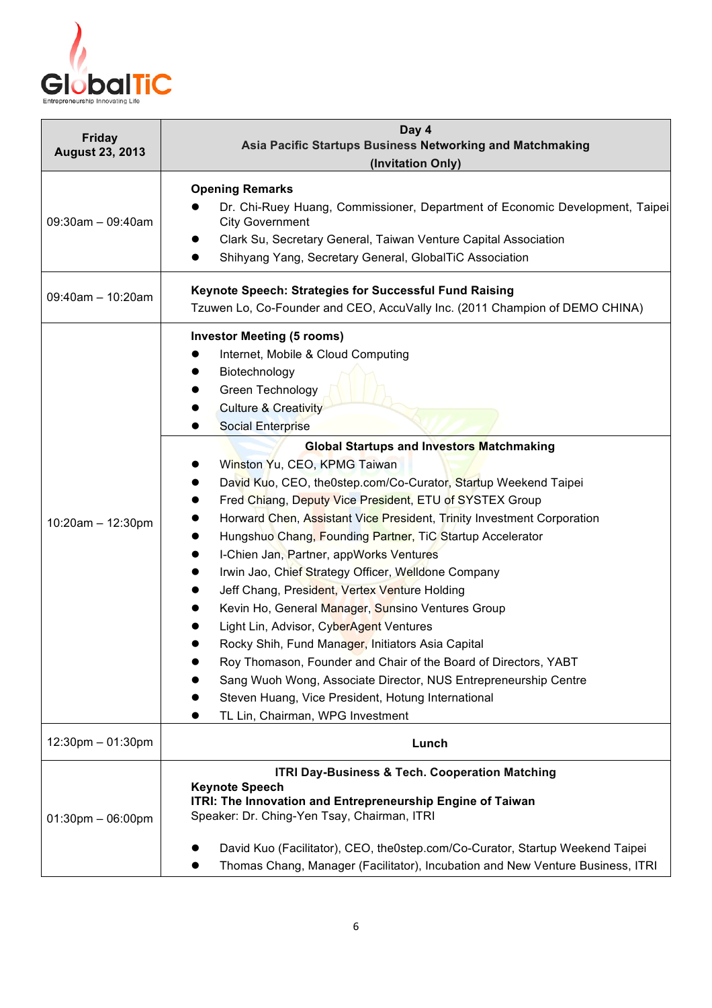

| <b>Friday</b><br><b>August 23, 2013</b> | Day 4<br>Asia Pacific Startups Business Networking and Matchmaking<br>(Invitation Only)                                                                                                                                                                                                                                                                                                                                                                                                                                                                                                                                                                                                                                                                                                                                                                                                                                                                                                                                                                                      |
|-----------------------------------------|------------------------------------------------------------------------------------------------------------------------------------------------------------------------------------------------------------------------------------------------------------------------------------------------------------------------------------------------------------------------------------------------------------------------------------------------------------------------------------------------------------------------------------------------------------------------------------------------------------------------------------------------------------------------------------------------------------------------------------------------------------------------------------------------------------------------------------------------------------------------------------------------------------------------------------------------------------------------------------------------------------------------------------------------------------------------------|
|                                         |                                                                                                                                                                                                                                                                                                                                                                                                                                                                                                                                                                                                                                                                                                                                                                                                                                                                                                                                                                                                                                                                              |
| $09:30$ am $-09:40$ am                  | <b>Opening Remarks</b><br>Dr. Chi-Ruey Huang, Commissioner, Department of Economic Development, Taipei<br><b>City Government</b><br>Clark Su, Secretary General, Taiwan Venture Capital Association<br>$\bullet$<br>Shihyang Yang, Secretary General, GlobalTiC Association<br>●                                                                                                                                                                                                                                                                                                                                                                                                                                                                                                                                                                                                                                                                                                                                                                                             |
| $09:40$ am - 10:20am                    | Keynote Speech: Strategies for Successful Fund Raising<br>Tzuwen Lo, Co-Founder and CEO, AccuVally Inc. (2011 Champion of DEMO CHINA)                                                                                                                                                                                                                                                                                                                                                                                                                                                                                                                                                                                                                                                                                                                                                                                                                                                                                                                                        |
| $10:20am - 12:30pm$                     | <b>Investor Meeting (5 rooms)</b><br>Internet, Mobile & Cloud Computing<br>Biotechnology<br>Green Technology<br><b>Culture &amp; Creativity</b><br><b>Social Enterprise</b><br><b>Global Startups and Investors Matchmaking</b><br>Winston Yu, CEO, KPMG Taiwan<br>David Kuo, CEO, the0step.com/Co-Curator, Startup Weekend Taipei<br>Fred Chiang, Deputy Vice President, ETU of SYSTEX Group<br>Horward Chen, Assistant Vice President, Trinity Investment Corporation<br>Hungshuo Chang, Founding Partner, TiC Startup Accelerator<br>I-Chien Jan, Partner, appWorks Ventures<br>Irwin Jao, Chief Strategy Officer, Welldone Company<br>Jeff Chang, President, Vertex Venture Holding<br>Kevin Ho, General Manager, Sunsino Ventures Group<br>Light Lin, Advisor, CyberAgent Ventures<br>Rocky Shih, Fund Manager, Initiators Asia Capital<br>Roy Thomason, Founder and Chair of the Board of Directors, YABT<br>Sang Wuoh Wong, Associate Director, NUS Entrepreneurship Centre<br>Steven Huang, Vice President, Hotung International<br>TL Lin, Chairman, WPG Investment |
| 12:30pm - 01:30pm                       | Lunch                                                                                                                                                                                                                                                                                                                                                                                                                                                                                                                                                                                                                                                                                                                                                                                                                                                                                                                                                                                                                                                                        |
| $01:30$ pm $-06:00$ pm                  | ITRI Day-Business & Tech. Cooperation Matching<br><b>Keynote Speech</b><br>ITRI: The Innovation and Entrepreneurship Engine of Taiwan<br>Speaker: Dr. Ching-Yen Tsay, Chairman, ITRI<br>David Kuo (Facilitator), CEO, the0step.com/Co-Curator, Startup Weekend Taipei<br>Thomas Chang, Manager (Facilitator), Incubation and New Venture Business, ITRI                                                                                                                                                                                                                                                                                                                                                                                                                                                                                                                                                                                                                                                                                                                      |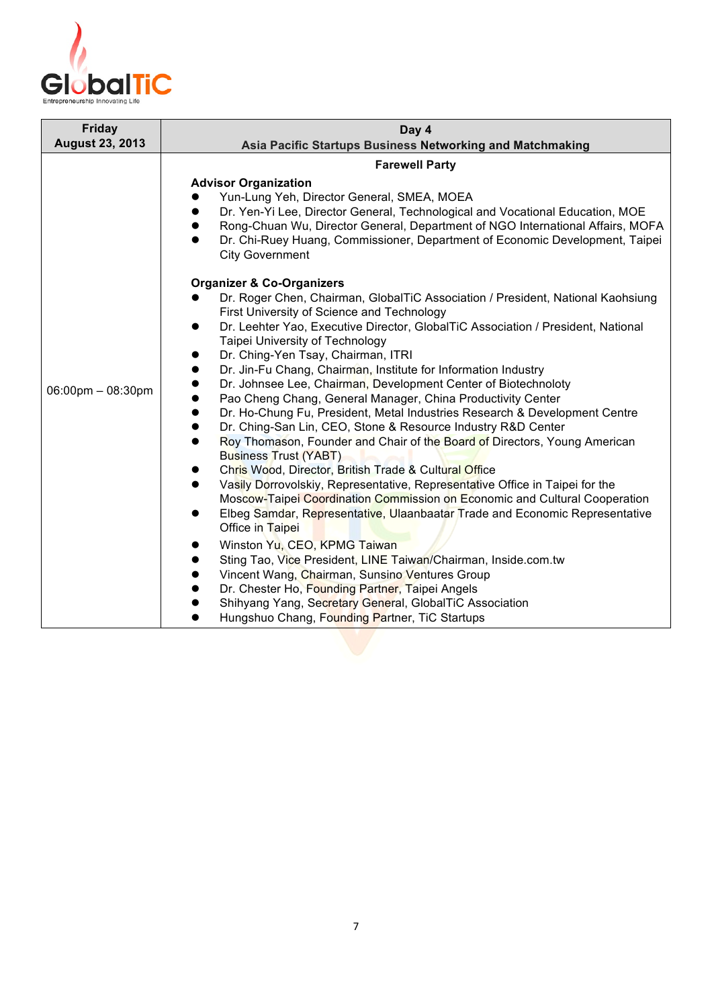

| <b>Friday</b>                                    | Day 4                                                                                                                                                                                                                                                                                                                                                                                                                                                                                                                                                                                                                                                                                                                                                                                                                                                                                                                                                                                                                                                                                                                                                                                                                                                                                                                                                                                                                                                                                                                                                                                                                                                                                                                                                                                                                                               |
|--------------------------------------------------|-----------------------------------------------------------------------------------------------------------------------------------------------------------------------------------------------------------------------------------------------------------------------------------------------------------------------------------------------------------------------------------------------------------------------------------------------------------------------------------------------------------------------------------------------------------------------------------------------------------------------------------------------------------------------------------------------------------------------------------------------------------------------------------------------------------------------------------------------------------------------------------------------------------------------------------------------------------------------------------------------------------------------------------------------------------------------------------------------------------------------------------------------------------------------------------------------------------------------------------------------------------------------------------------------------------------------------------------------------------------------------------------------------------------------------------------------------------------------------------------------------------------------------------------------------------------------------------------------------------------------------------------------------------------------------------------------------------------------------------------------------------------------------------------------------------------------------------------------------|
|                                                  |                                                                                                                                                                                                                                                                                                                                                                                                                                                                                                                                                                                                                                                                                                                                                                                                                                                                                                                                                                                                                                                                                                                                                                                                                                                                                                                                                                                                                                                                                                                                                                                                                                                                                                                                                                                                                                                     |
| <b>August 23, 2013</b><br>$06:00$ pm $-08:30$ pm | Asia Pacific Startups Business Networking and Matchmaking<br><b>Farewell Party</b><br><b>Advisor Organization</b><br>Yun-Lung Yeh, Director General, SMEA, MOEA<br>Dr. Yen-Yi Lee, Director General, Technological and Vocational Education, MOE<br>$\bullet$<br>Rong-Chuan Wu, Director General, Department of NGO International Affairs, MOFA<br>Dr. Chi-Ruey Huang, Commissioner, Department of Economic Development, Taipei<br>$\bullet$<br><b>City Government</b><br><b>Organizer &amp; Co-Organizers</b><br>Dr. Roger Chen, Chairman, GlobalTiC Association / President, National Kaohsiung<br>First University of Science and Technology<br>Dr. Leehter Yao, Executive Director, GlobalTiC Association / President, National<br>$\bullet$<br>Taipei University of Technology<br>Dr. Ching-Yen Tsay, Chairman, ITRI<br>$\bullet$<br>Dr. Jin-Fu Chang, Chairman, Institute for Information Industry<br>$\bullet$<br>Dr. Johnsee Lee, Chairman, Development Center of Biotechnoloty<br>Pao Cheng Chang, General Manager, China Productivity Center<br>Dr. Ho-Chung Fu, President, Metal Industries Research & Development Centre<br>$\bullet$<br>Dr. Ching-San Lin, CEO, Stone & Resource Industry R&D Center<br>$\bullet$<br>Roy Thomason, Founder and Chair of the Board of Directors, Young American<br>$\bullet$<br><b>Business Trust (YABT)</b><br>Chris Wood, Director, British Trade & Cultural Office<br>Vasily Dorrovolskiy, Representative, Representative Office in Taipei for the<br>$\bullet$<br>Moscow-Taipei Coordination Commission on Economic and Cultural Cooperation<br>Elbeg Samdar, Representative, Ulaanbaatar Trade and Economic Representative<br>Office in Taipei<br>Winston Yu, CEO, KPMG Taiwan<br>Sting Tao, Vice President, LINE Taiwan/Chairman, Inside.com.tw<br>Vincent Wang, Chairman, Sunsino Ventures Group |
|                                                  | Dr. Chester Ho, Founding Partner, Taipei Angels<br>Shihyang Yang, Secretary General, GlobalTiC Association                                                                                                                                                                                                                                                                                                                                                                                                                                                                                                                                                                                                                                                                                                                                                                                                                                                                                                                                                                                                                                                                                                                                                                                                                                                                                                                                                                                                                                                                                                                                                                                                                                                                                                                                          |
|                                                  | Hungshuo Chang, Founding Partner, TiC Startups                                                                                                                                                                                                                                                                                                                                                                                                                                                                                                                                                                                                                                                                                                                                                                                                                                                                                                                                                                                                                                                                                                                                                                                                                                                                                                                                                                                                                                                                                                                                                                                                                                                                                                                                                                                                      |